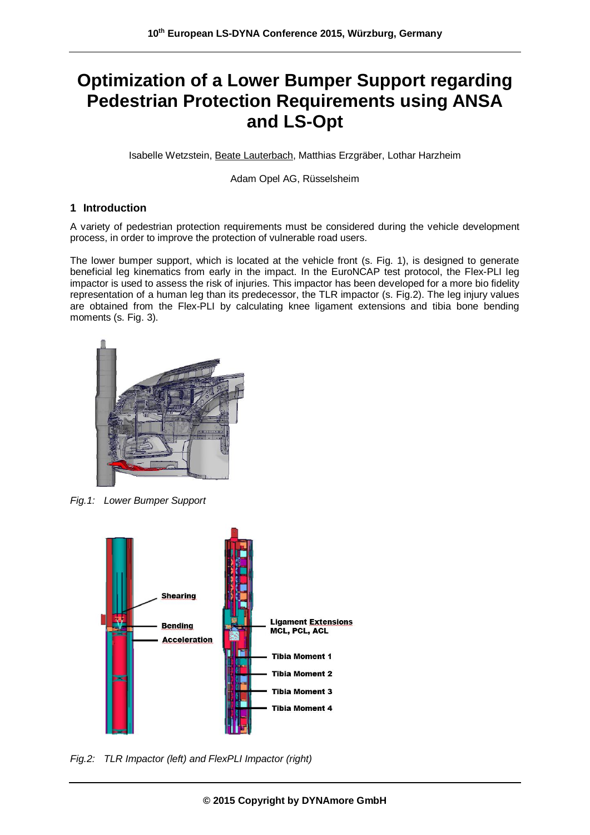# **Optimization of a Lower Bumper Support regarding Pedestrian Protection Requirements using ANSA and LS-Opt**

Isabelle Wetzstein, Beate Lauterbach, Matthias Erzgräber, Lothar Harzheim

Adam Opel AG, Rüsselsheim

#### **1 Introduction**

A variety of pedestrian protection requirements must be considered during the vehicle development process, in order to improve the protection of vulnerable road users.

The lower bumper support, which is located at the vehicle front (s. Fig. 1), is designed to generate beneficial leg kinematics from early in the impact. In the EuroNCAP test protocol, the Flex-PLI leg impactor is used to assess the risk of injuries. This impactor has been developed for a more bio fidelity representation of a human leg than its predecessor, the TLR impactor (s. Fig.2). The leg injury values are obtained from the Flex-PLI by calculating knee ligament extensions and tibia bone bending moments (s. Fig. 3).



*Fig.1: Lower Bumper Support*



*Fig.2: TLR Impactor (left) and FlexPLI Impactor (right)*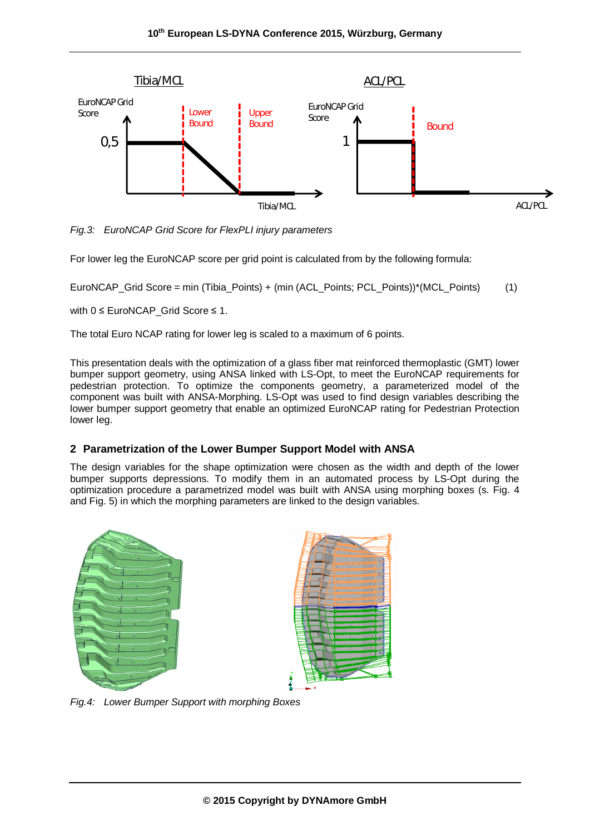

*Fig.3: EuroNCAP Grid Score for FlexPLI injury parameters*

For lower leg the EuroNCAP score per grid point is calculated from by the following formula:

EuroNCAP Grid Score = min (Tibia Points) + (min (ACL Points; PCL Points))\*(MCL Points) (1)

with  $0 \leq$  EuroNCAP Grid Score  $\leq 1$ .

The total Euro NCAP rating for lower leg is scaled to a maximum of 6 points.

This presentation deals with the optimization of a glass fiber mat reinforced thermoplastic (GMT) lower bumper support geometry, using ANSA linked with LS-Opt, to meet the EuroNCAP requirements for pedestrian protection. To optimize the components geometry, a parameterized model of the component was built with ANSA-Morphing. LS-Opt was used to find design variables describing the lower bumper support geometry that enable an optimized EuroNCAP rating for Pedestrian Protection lower leg.

## **2 Parametrization of the Lower Bumper Support Model with ANSA**

The design variables for the shape optimization were chosen as the width and depth of the lower bumper supports depressions. To modify them in an automated process by LS-Opt during the optimization procedure a parametrized model was built with ANSA using morphing boxes (s. Fig. 4 and Fig. 5) in which the morphing parameters are linked to the design variables.



*Fig.4: Lower Bumper Support with morphing Boxes*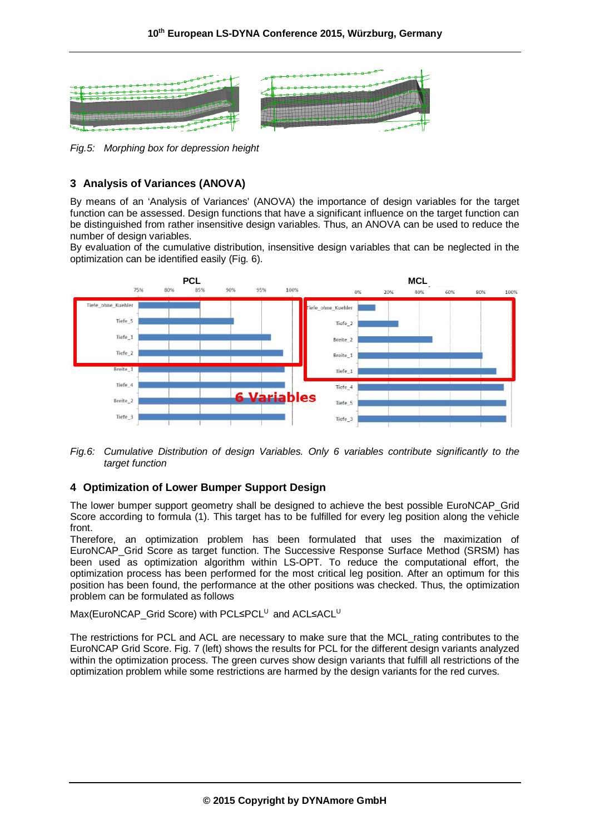

*Fig.5: Morphing box for depression height*

## **3 Analysis of Variances (ANOVA)**

By means of an 'Analysis of Variances' (ANOVA) the importance of design variables for the target function can be assessed. Design functions that have a significant influence on the target function can be distinguished from rather insensitive design variables. Thus, an ANOVA can be used to reduce the number of design variables.

By evaluation of the cumulative distribution, insensitive design variables that can be neglected in the optimization can be identified easily (Fig. 6).



*Fig.6: Cumulative Distribution of design Variables. Only 6 variables contribute significantly to the target function*

## **4 Optimization of Lower Bumper Support Design**

The lower bumper support geometry shall be designed to achieve the best possible EuroNCAP\_Grid Score according to formula (1). This target has to be fulfilled for every leg position along the vehicle front.

Therefore, an optimization problem has been formulated that uses the maximization of EuroNCAP\_Grid Score as target function. The Successive Response Surface Method (SRSM) has been used as optimization algorithm within LS-OPT. To reduce the computational effort, the optimization process has been performed for the most critical leg position. After an optimum for this position has been found, the performance at the other positions was checked. Thus, the optimization problem can be formulated as follows

Max(EuroNCAP\_Grid Score) with PCL≤PCL<sup>∪</sup> and ACL≤ACL<sup>∪</sup>

The restrictions for PCL and ACL are necessary to make sure that the MCL\_rating contributes to the EuroNCAP Grid Score. Fig. 7 (left) shows the results for PCL for the different design variants analyzed within the optimization process. The green curves show design variants that fulfill all restrictions of the optimization problem while some restrictions are harmed by the design variants for the red curves.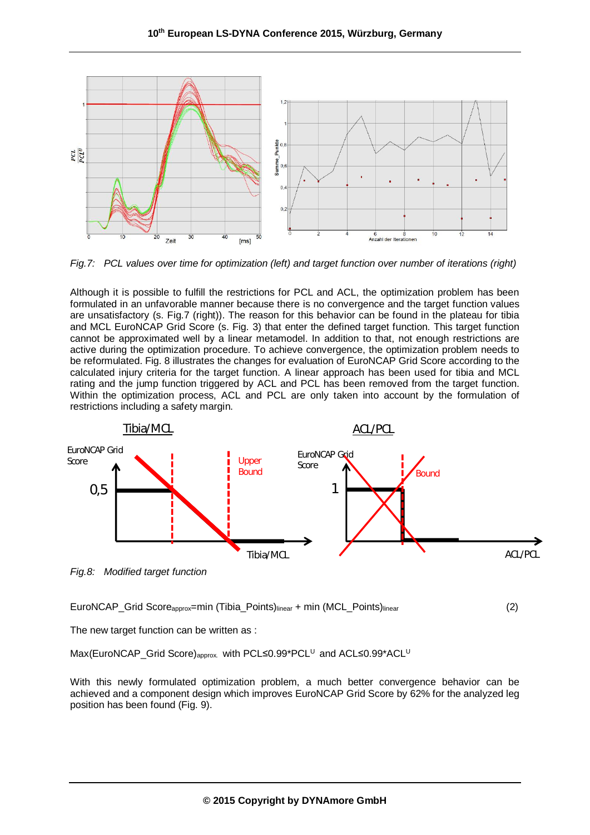

*Fig.7: PCL values over time for optimization (left) and target function over number of iterations (right)*

Although it is possible to fulfill the restrictions for PCL and ACL, the optimization problem has been formulated in an unfavorable manner because there is no convergence and the target function values are unsatisfactory (s. Fig.7 (right)). The reason for this behavior can be found in the plateau for tibia and MCL EuroNCAP Grid Score (s. Fig. 3) that enter the defined target function. This target function cannot be approximated well by a linear metamodel. In addition to that, not enough restrictions are active during the optimization procedure. To achieve convergence, the optimization problem needs to be reformulated. Fig. 8 illustrates the changes for evaluation of EuroNCAP Grid Score according to the calculated injury criteria for the target function. A linear approach has been used for tibia and MCL rating and the jump function triggered by ACL and PCL has been removed from the target function. Within the optimization process, ACL and PCL are only taken into account by the formulation of restrictions including a safety margin.



*Fig.8: Modified target function*

EuroNCAP\_Grid Scoreapprox=min (Tibia\_Points)linear + min (MCL\_Points)linear (2)

The new target function can be written as :

Max(EuroNCAP\_Grid Score)<sub>approx</sub>. with PCL≤0.99\*PCL<sup>U</sup> and ACL≤0.99\*ACL<sup>U</sup>

With this newly formulated optimization problem, a much better convergence behavior can be achieved and a component design which improves EuroNCAP Grid Score by 62% for the analyzed leg position has been found (Fig. 9).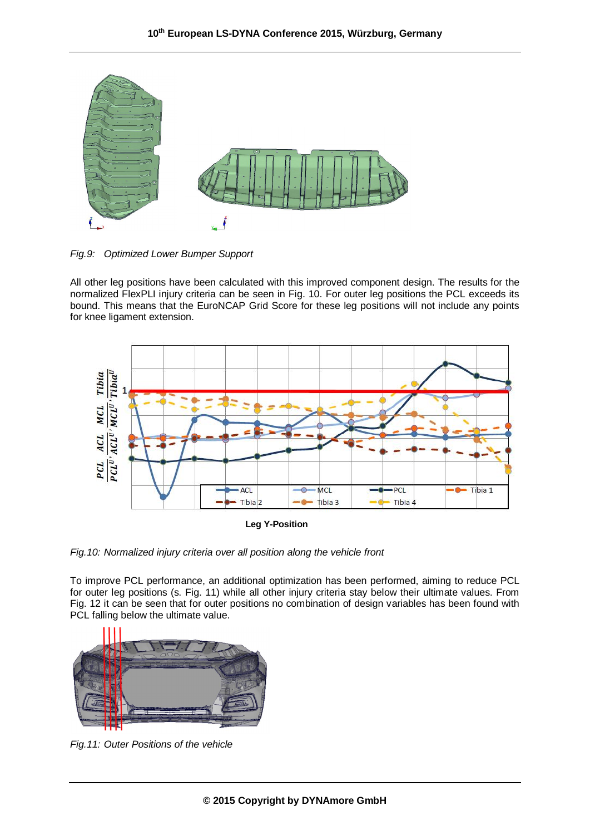

*Fig.9: Optimized Lower Bumper Support*

All other leg positions have been calculated with this improved component design. The results for the normalized FlexPLI injury criteria can be seen in Fig. 10. For outer leg positions the PCL exceeds its bound. This means that the EuroNCAP Grid Score for these leg positions will not include any points for knee ligament extension.



**Leg Y-Position**

*Fig.10: Normalized injury criteria over all position along the vehicle front*

To improve PCL performance, an additional optimization has been performed, aiming to reduce PCL for outer leg positions (s. Fig. 11) while all other injury criteria stay below their ultimate values. From Fig. 12 it can be seen that for outer positions no combination of design variables has been found with PCL falling below the ultimate value.



*Fig.11: Outer Positions of the vehicle*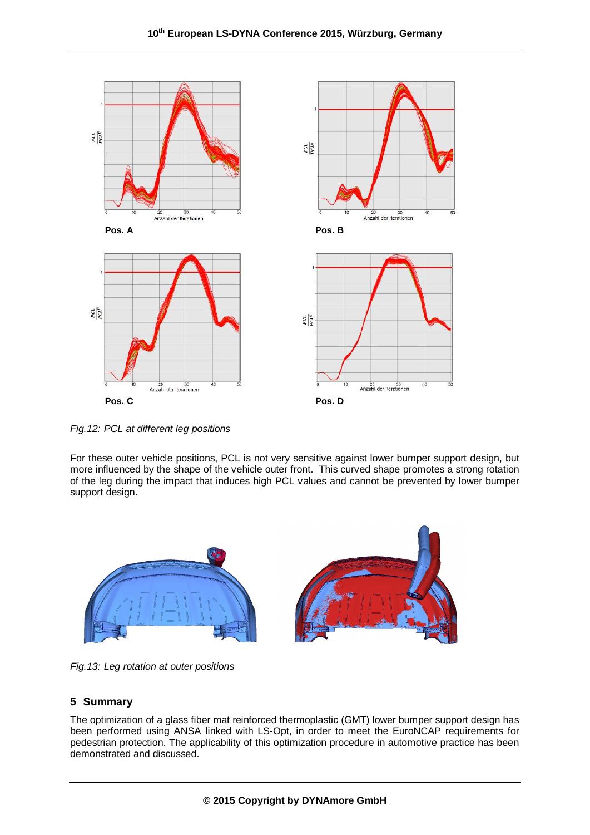

*Fig.12: PCL at different leg positions*

For these outer vehicle positions, PCL is not very sensitive against lower bumper support design, but more influenced by the shape of the vehicle outer front. This curved shape promotes a strong rotation of the leg during the impact that induces high PCL values and cannot be prevented by lower bumper support design.



*Fig.13: Leg rotation at outer positions*

## **5 Summary**

The optimization of a glass fiber mat reinforced thermoplastic (GMT) lower bumper support design has been performed using ANSA linked with LS-Opt, in order to meet the EuroNCAP requirements for pedestrian protection. The applicability of this optimization procedure in automotive practice has been demonstrated and discussed.